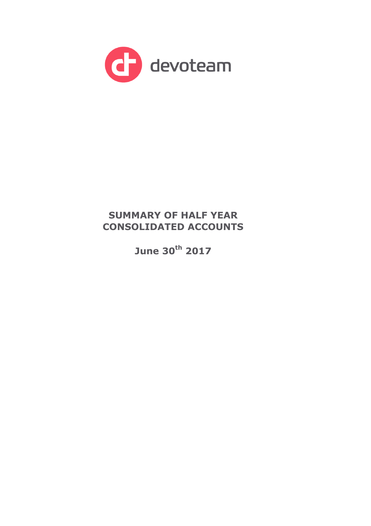

# **SUMMARY OF HALF YEAR CONSOLIDATED ACCOUNTS**

**June 30th 2017**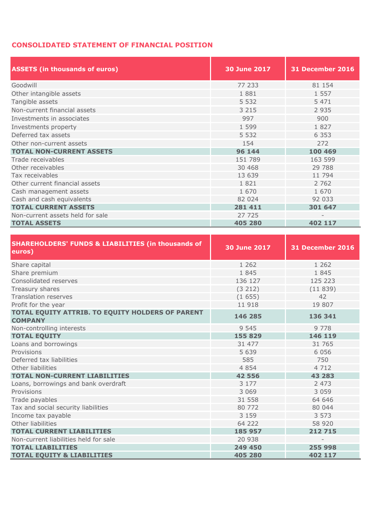# **CONSOLIDATED STATEMENT OF FINANCIAL POSITION**

| <b>ASSETS (in thousands of euros)</b> | <b>30 June 2017</b> | <b>31 December 2016</b> |
|---------------------------------------|---------------------|-------------------------|
| Goodwill                              | 77 233              | 81 154                  |
| Other intangible assets               | 1881                | 1 5 5 7                 |
| Tangible assets                       | 5 5 3 2             | 5 4 7 1                 |
| Non-current financial assets          | 3 2 1 5             | 2 9 3 5                 |
| Investments in associates             | 997                 | 900                     |
| Investments property                  | 1 5 9 9             | 1827                    |
| Deferred tax assets                   | 5 5 3 2             | 6 3 5 3                 |
| Other non-current assets              | 154                 | 272                     |
| <b>TOTAL NON-CURRENT ASSETS</b>       | 96 144              | 100 469                 |
| Trade receivables                     | 151 789             | 163 599                 |
| Other receivables                     | 30 4 68             | 29 788                  |
| Tax receivables                       | 13 639              | 11 794                  |
| Other current financial assets        | 1821                | 2 7 6 2                 |
| Cash management assets                | 1 670               | 1 670                   |
| Cash and cash equivalents             | 82 024              | 92 033                  |
| <b>TOTAL CURRENT ASSETS</b>           | 281 411             | 301 647                 |
| Non-current assets held for sale      | 27 725              |                         |
| <b>TOTAL ASSETS</b>                   | 405 280             | 402 117                 |

| <b>SHAREHOLDERS' FUNDS &amp; LIABILITIES (in thousands of</b><br>euros) | <b>30 June 2017</b> | 31 December 2016         |  |  |  |
|-------------------------------------------------------------------------|---------------------|--------------------------|--|--|--|
| Share capital                                                           | 1 2 6 2             | 1 2 6 2                  |  |  |  |
| Share premium                                                           | 1845                | 1845                     |  |  |  |
| Consolidated reserves                                                   | 136 127             | 125 223                  |  |  |  |
| Treasury shares                                                         | (3 212)             | (11839)                  |  |  |  |
| <b>Translation reserves</b>                                             | (1655)              | 42                       |  |  |  |
| Profit for the year                                                     | 11 918              | 19 807                   |  |  |  |
| TOTAL EQUITY ATTRIB. TO EQUITY HOLDERS OF PARENT<br><b>COMPANY</b>      | 146 285             | 136 341                  |  |  |  |
| Non-controlling interests                                               | 9 5 4 5             | 9 7 7 8                  |  |  |  |
| <b>TOTAL EQUITY</b>                                                     | 155 829             | 146 119                  |  |  |  |
| Loans and borrowings                                                    | 31 477              | 31 765                   |  |  |  |
| Provisions                                                              | 5 6 3 9             | 6 0 5 6                  |  |  |  |
| Deferred tax liabilities                                                | 585                 | 750                      |  |  |  |
| Other liabilities                                                       | 4 8 5 4             | 4 7 1 2                  |  |  |  |
| <b>TOTAL NON-CURRENT LIABILITIES</b>                                    | 42 556              | 43 283                   |  |  |  |
| Loans, borrowings and bank overdraft                                    | 3 1 7 7             | 2 4 7 3                  |  |  |  |
| Provisions                                                              | 3 0 6 9             | 3 0 5 9                  |  |  |  |
| Trade payables                                                          | 31 558              | 64 646                   |  |  |  |
| Tax and social security liabilities                                     | 80 772              | 80 044                   |  |  |  |
| Income tax payable                                                      | 3 1 5 9             | 3 5 7 3                  |  |  |  |
| Other liabilities                                                       | 64 222              | 58 920                   |  |  |  |
| <b>TOTAL CURRENT LIABILITIES</b>                                        | 185 957             | 212 715                  |  |  |  |
| Non-current liabilities held for sale                                   | 20 938              | $\overline{\phantom{0}}$ |  |  |  |
| <b>TOTAL LIABILITIES</b>                                                | 249 450             | 255 998                  |  |  |  |
| <b>TOTAL EQUITY &amp; LIABILITIES</b>                                   | 405 280             | 402 117                  |  |  |  |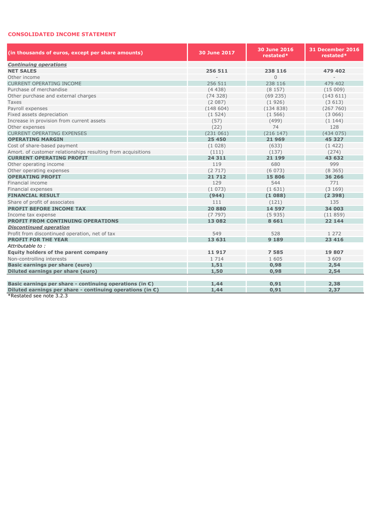## **CONSOLIDATED INCOME STATEMENT**

| (in thousands of euros, except per share amounts)                   | <b>30 June 2017</b> | 30 June 2016<br>restated* | <b>31 December 2016</b><br>restated* |  |  |  |
|---------------------------------------------------------------------|---------------------|---------------------------|--------------------------------------|--|--|--|
| <b>Continuing operations</b>                                        |                     |                           |                                      |  |  |  |
| <b>NET SALES</b>                                                    | 256 511             | 238 116                   | 479 402                              |  |  |  |
| Other income                                                        |                     | $\mathbf{0}$              |                                      |  |  |  |
| <b>CURRENT OPERATING INCOME</b>                                     | 256 511             | 238 116                   | 479 402                              |  |  |  |
| Purchase of merchandise                                             | (4438)              | (8157)                    | (15009)                              |  |  |  |
| Other purchase and external charges                                 | (74328)             | (69235)                   | (143611)                             |  |  |  |
| Taxes                                                               | (2087)              | (1926)                    | (3613)                               |  |  |  |
| Payroll expenses                                                    | (148604)            | (134838)                  | (267760)                             |  |  |  |
| Fixed assets depreciation                                           | (1524)              | (1566)                    | (3066)                               |  |  |  |
| Increase in provision from current assets                           | (57)                | (499)                     | (1144)                               |  |  |  |
| Other expenses                                                      | (22)                | 74                        | 128                                  |  |  |  |
| <b>CURRENT OPERATING EXPENSES</b>                                   | (231061)            | (216 147)                 | (434075)                             |  |  |  |
| <b>OPERATING MARGIN</b>                                             | 25 450              | 21 969                    | 45 327                               |  |  |  |
| Cost of share-based payment                                         | (1028)              | (633)                     | (1422)                               |  |  |  |
| Amort. of customer relationships resulting from acquisitions        | (111)               | (137)                     | (274)                                |  |  |  |
| <b>CURRENT OPERATING PROFIT</b>                                     | 24 311              | 21 199                    | 43 632                               |  |  |  |
| Other operating income                                              | 119                 | 680                       | 999                                  |  |  |  |
| Other operating expenses                                            | (2717)              | (6073)                    | (8365)                               |  |  |  |
| <b>OPERATING PROFIT</b>                                             | 21 7 12             | 15 806                    | 36 266                               |  |  |  |
| Financial income                                                    | 129                 | 544                       | 771                                  |  |  |  |
| Financial expenses                                                  | (1073)              | (1631)                    | (3169)                               |  |  |  |
| <b>FINANCIAL RESULT</b>                                             | (944)               | (1088)                    | (2398)                               |  |  |  |
| Share of profit of associates                                       | 111                 | (121)                     | 135                                  |  |  |  |
| <b>PROFIT BEFORE INCOME TAX</b>                                     | 20 880              | 14 597                    | 34 003                               |  |  |  |
| Income tax expense                                                  | (7797)              | (5935)                    | (11859)                              |  |  |  |
| <b>PROFIT FROM CONTINUING OPERATIONS</b>                            | 13 082              | 8661                      | 22 144                               |  |  |  |
| <b>Discontinued operation</b>                                       |                     |                           |                                      |  |  |  |
| Profit from discontinued operation, net of tax                      | 549                 | 528                       | 1 2 7 2                              |  |  |  |
| <b>PROFIT FOR THE YEAR</b>                                          | 13 631              | 9 1 8 9                   | 23 4 16                              |  |  |  |
| Attributable to:                                                    |                     |                           |                                      |  |  |  |
| <b>Equity holders of the parent company</b>                         | 11917               | 7585                      | 19 807                               |  |  |  |
| Non-controlling interests                                           | 1 7 1 4             | 1 605                     | 3 609                                |  |  |  |
| Basic earnings per share (euro)                                     | 1,51                | 0,98                      | 2,54                                 |  |  |  |
| <b>Diluted earnings per share (euro)</b>                            | 1,50                | 0,98                      | 2,54                                 |  |  |  |
|                                                                     |                     |                           |                                      |  |  |  |
| Basic earnings per share - continuing operations (in $\epsilon$ )   | 1,44                | 0.91                      | 2,38                                 |  |  |  |
| Diluted earnings per share - continuing operations (in $\epsilon$ ) | 1,44                | 0,91                      | 2,37                                 |  |  |  |

**Example 2.2.3**<br>**\*Restated see note 3.2.3**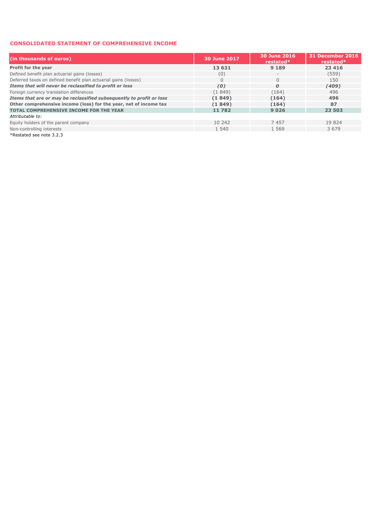#### **CONSOLIDATED STATEMENT OF COMPREHENSIVE INCOME**

| (in thousands of euros)                                              | <b>30 June 2017</b> | 30 June 2016<br>restated* | <b>31 December 2016</b><br>restated* |  |  |
|----------------------------------------------------------------------|---------------------|---------------------------|--------------------------------------|--|--|
| Profit for the year                                                  | 13 631              | 9 1 8 9                   | 23 4 16                              |  |  |
| Defined benefit plan actuarial gains (losses)                        | (0)                 | $-$                       | (559)                                |  |  |
| Deferred taxes on defined benefit plan actuarial gains (losses)      | 0                   |                           | 150                                  |  |  |
| Items that will never be reclassified to profit or loss              | (0)                 | $\boldsymbol{0}$          | (409)                                |  |  |
| Foreign currency translation differences                             | (1849)              | (164)                     | 496                                  |  |  |
| Items that are or may be reclassified subsequently to profit or loss | (1849)              | (164)                     | 496                                  |  |  |
| Other comprehensive income (loss) for the year, net of income tax    | (1849)              | (164)                     | 87                                   |  |  |
| <b>TOTAL COMPREHENSIVE INCOME FOR THE YEAR</b>                       | 11782               | 9026                      | 23 503                               |  |  |
| Attributable to:                                                     |                     |                           |                                      |  |  |
| Equity holders of the parent company                                 | 10 242              | 7457                      | 19824                                |  |  |
| Non-controlling interests                                            | 1 540               | 1 5 6 9                   | 3 6 7 9                              |  |  |
| *Restated see note 3.2.3                                             |                     |                           |                                      |  |  |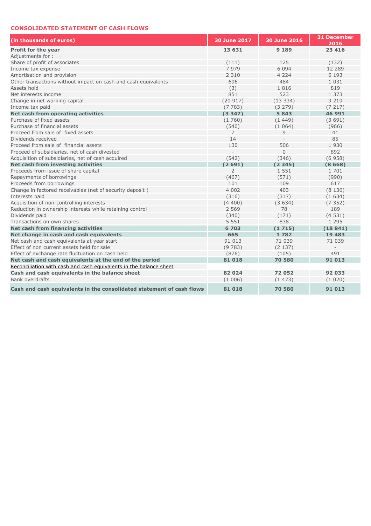## **CONSOLIDATED STATEMENT OF CASH FLOWS**

| (in thousands of euros)                                               | 30 June 2017   | <b>30 June 2016</b> | <b>31 December</b><br>2016 |
|-----------------------------------------------------------------------|----------------|---------------------|----------------------------|
| Profit for the year                                                   | 13 631         | 9 1 8 9             | 23 4 16                    |
| Adiustments for:                                                      |                |                     |                            |
| Share of profit of associates                                         | (111)          | 125                 | (132)                      |
| Income tax expense                                                    | 7979           | 6 0 9 4             | 12 2 8 9                   |
| Amortisation and provision                                            | 2 3 1 0        | 4 2 2 4             | 6 1 9 3                    |
| Other transactions without impact on cash and cash equivalents        | 696            | 484                 | 1 0 3 1                    |
| Assets hold                                                           | (3)            | 1816                | 819                        |
| Net interests income                                                  | 851            | 523                 | 1 373                      |
| Change in net working capital                                         | (20917)        | (13334)             | 9 2 1 9                    |
| Income tax paid                                                       | (7783)         | (3279)              | (7217)                     |
| Net cash from operating activities                                    | (3347)         | 5843                | 46 991                     |
| Purchase of fixed assets                                              | (1760)         | (1449)              | (3691)                     |
| Purchase of financial assets                                          | (540)          | (1064)              | (966)                      |
| Proceed from sale of fixed assets                                     | $\overline{7}$ | 9                   | 41                         |
| Dividends received                                                    | 14             |                     | 85                         |
| Proceed from sale of financial assets                                 | 130            | 506                 | 1930                       |
| Proceed of subsidiaries, net of cash divested                         |                | $\overline{0}$      | 892                        |
| Acquisition of subsidiaries, net of cash acquired                     | (542)          | (346)               | (6958)                     |
| Net cash from investing activities                                    | (2691)         | (2345)              | (8668)                     |
| Proceeds from issue of share capital                                  | $\overline{2}$ | 1 5 5 1             | 1 701                      |
| Repayments of borrowings                                              | (467)          | (571)               | (990)                      |
| Proceeds from borrowings                                              | 101            | 109                 | 617                        |
| Change in factored receivables (net of security deposit)              | 4 0 0 2        | 403                 | (8136)                     |
| Interests paid                                                        | (316)          | (317)               | (1634)                     |
| Acquisition of non-controlling interests                              | (4400)         | (3634)              | (7352)                     |
| Reduction in ownership interests while retaining control              | 2 5 6 9        | 78                  | 189                        |
| Dividends paid                                                        | (340)          | (171)               | (4531)                     |
| Transactions on own shares                                            | 5 5 5 1        | 838                 | 1 2 9 5                    |
| Net cash from financing activities                                    | 6703           | (1715)              | (18841)                    |
| Net change in cash and cash equivalents                               | 665            | 1782                | 19 4 83                    |
| Net cash and cash equivalents at year start                           | 91 013         | 71 039              | 71 039                     |
| Effect of non current assets held for sale                            | (9783)         | (2137)              |                            |
| Effect of exchange rate fluctuation on cash held                      | (876)          | (105)               | 491                        |
| Net cash and cash equivalents at the end of the period                | 81 018         | 70 580              | 91 013                     |
| Reconciliation with cash and cash equivalents in the balance sheet    |                |                     |                            |
| Cash and cash equivalents in the balance sheet                        | 82 024         | 72052               | 92 033                     |
| Bank overdrafts                                                       | (1006)         | (1473)              | (1020)                     |
| Cash and cash equivalents in the consolidated statement of cash flows | 81 018         | 70580               | 91 013                     |